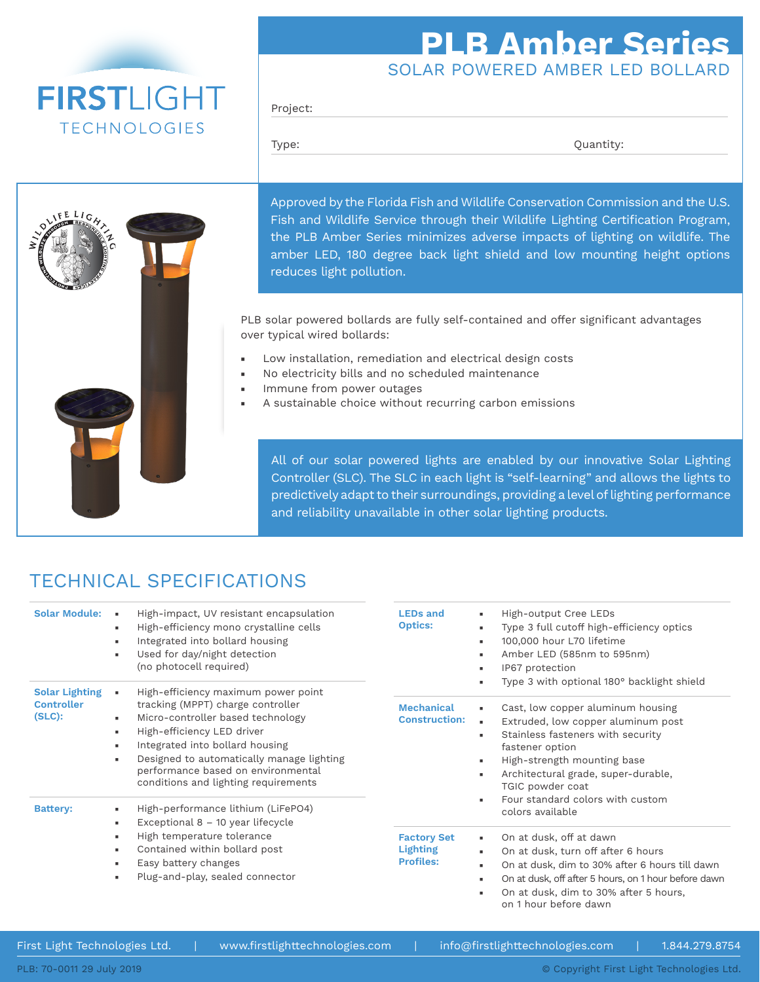## **FIRSTLIGHT TECHNOLOGIES**

## SOLAR POWERED AMBER LED BOLLARD **PLB Amber Series**

Project:

Type:  $\qquad \qquad \text{Quantity:}$ 

Approved by the Florida Fish and Wildlife Conservation Commission and the U.S. Fish and Wildlife Service through their Wildlife Lighting Certification Program, the PLB Amber Series minimizes adverse impacts of lighting on wildlife. The amber LED, 180 degree back light shield and low mounting height options reduces light pollution.

PLB solar powered bollards are fully self-contained and offer significant advantages over typical wired bollards:

- Low installation, remediation and electrical design costs
- No electricity bills and no scheduled maintenance
- Immune from power outages
- A sustainable choice without recurring carbon emissions

All of our solar powered lights are enabled by our innovative Solar Lighting Controller (SLC). The SLC in each light is "self-learning" and allows the lights to predictively adapt to their surroundings, providing a level of lighting performance and reliability unavailable in other solar lighting products.

## TECHNICAL SPECIFICATIONS

| <b>Solar Module:</b>                                    | High-impact, UV resistant encapsulation<br>$\blacksquare$<br>High-efficiency mono crystalline cells<br>٠<br>Integrated into bollard housing<br>٠<br>Used for day/night detection<br>$\blacksquare$<br>(no photocell required)                                                                                                                                                                                                                                                                                                                                                   | <b>LEDs and</b><br><b>Optics:</b> | High-output Cree LEDs<br>٠<br>Type 3 full cutoff high-efficiency optics<br>٠<br>100,000 hour L70 lifetime<br>٠<br>Amber LED (585nm to 595nm)<br>٠<br>IP67 protection<br>٠                                                                                                                                                                                                                                                                                                                                                                                                                                                                                              |  |
|---------------------------------------------------------|---------------------------------------------------------------------------------------------------------------------------------------------------------------------------------------------------------------------------------------------------------------------------------------------------------------------------------------------------------------------------------------------------------------------------------------------------------------------------------------------------------------------------------------------------------------------------------|-----------------------------------|------------------------------------------------------------------------------------------------------------------------------------------------------------------------------------------------------------------------------------------------------------------------------------------------------------------------------------------------------------------------------------------------------------------------------------------------------------------------------------------------------------------------------------------------------------------------------------------------------------------------------------------------------------------------|--|
| <b>Solar Lighting</b><br><b>Controller</b><br>$(SLC)$ : | High-efficiency maximum power point<br>tracking (MPPT) charge controller<br>Micro-controller based technology<br>٠<br>High-efficiency LED driver<br>٠<br>Integrated into bollard housing<br>٠<br>Designed to automatically manage lighting<br>٠<br>performance based on environmental<br>conditions and lighting requirements<br>High-performance lithium (LiFePO4)<br>٠<br>Exceptional $8 - 10$ year lifecycle<br>٠<br>High temperature tolerance<br>٠<br>Contained within bollard post<br>٠<br>Easy battery changes<br>٠<br>Plug-and-play, sealed connector<br>$\blacksquare$ |                                   | Type 3 with optional 180° backlight shield<br>Cast, low copper aluminum housing<br>٠<br><b>Construction:</b><br>Extruded, low copper aluminum post<br>×.<br>Stainless fasteners with security<br>٠<br>fastener option<br>High-strength mounting base<br>٠<br>Architectural grade, super-durable,<br>$\blacksquare$<br>TGIC powder coat<br>Four standard colors with custom<br>٠<br>colors available<br>On at dusk, off at dawn<br>۰.<br>On at dusk, turn off after 6 hours<br>٠<br>On at dusk, dim to 30% after 6 hours till dawn<br>×.<br>On at dusk, off after 5 hours, on 1 hour before dawn<br>٠<br>On at dusk, dim to 30% after 5 hours,<br>on 1 hour before dawn |  |
| <b>Battery:</b>                                         |                                                                                                                                                                                                                                                                                                                                                                                                                                                                                                                                                                                 |                                   |                                                                                                                                                                                                                                                                                                                                                                                                                                                                                                                                                                                                                                                                        |  |

PLB: 70-0011 29 July 2019

First Light Technologies Ltd. | www.firstlighttechnologies.com | info@firstlighttechnologies.com | 1.844.279.8754

© Copyright First Light Technologies Ltd.